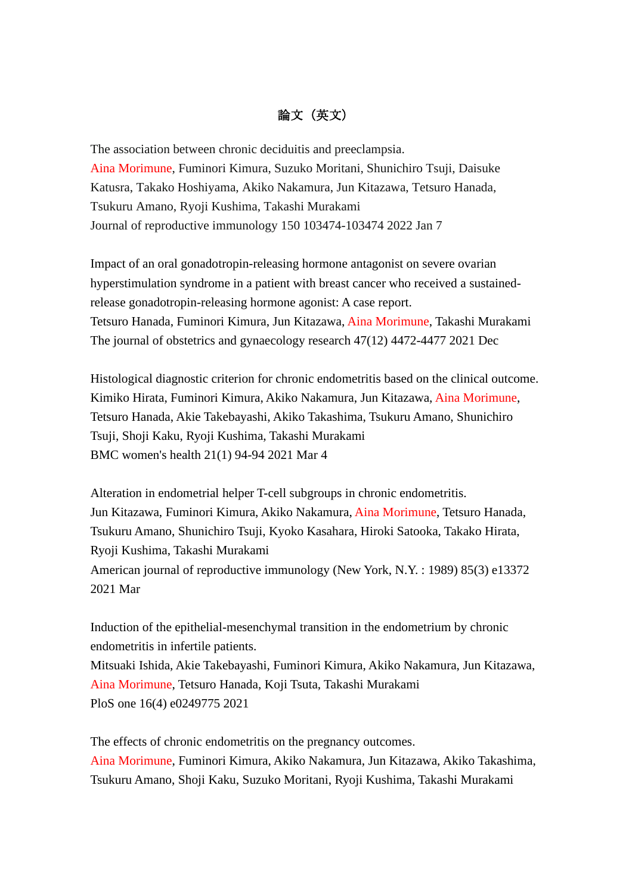## 論文(英文)

The association between chronic deciduitis and preeclampsia. Aina Morimune, Fuminori Kimura, Suzuko Moritani, Shunichiro Tsuji, Daisuke Katusra, Takako Hoshiyama, Akiko Nakamura, Jun Kitazawa, Tetsuro Hanada, Tsukuru Amano, Ryoji Kushima, Takashi Murakami Journal of reproductive immunology 150 103474-103474 2022 Jan 7

Impact of an oral gonadotropin-releasing hormone antagonist on severe ovarian hyperstimulation syndrome in a patient with breast cancer who received a sustainedrelease gonadotropin-releasing hormone agonist: A case report. Tetsuro Hanada, Fuminori Kimura, Jun Kitazawa, Aina Morimune, Takashi Murakami The journal of obstetrics and gynaecology research 47(12) 4472-4477 2021 Dec

Histological diagnostic criterion for chronic endometritis based on the clinical outcome. Kimiko Hirata, Fuminori Kimura, Akiko Nakamura, Jun Kitazawa, Aina Morimune, Tetsuro Hanada, Akie Takebayashi, Akiko Takashima, Tsukuru Amano, Shunichiro Tsuji, Shoji Kaku, Ryoji Kushima, Takashi Murakami BMC women's health 21(1) 94-94 2021 Mar 4

Alteration in endometrial helper T-cell subgroups in chronic endometritis. Jun Kitazawa, Fuminori Kimura, Akiko Nakamura, Aina Morimune, Tetsuro Hanada, Tsukuru Amano, Shunichiro Tsuji, Kyoko Kasahara, Hiroki Satooka, Takako Hirata, Ryoji Kushima, Takashi Murakami American journal of reproductive immunology (New York, N.Y. : 1989) 85(3) e13372 2021 Mar

Induction of the epithelial-mesenchymal transition in the endometrium by chronic endometritis in infertile patients.

Mitsuaki Ishida, Akie Takebayashi, Fuminori Kimura, Akiko Nakamura, Jun Kitazawa, Aina Morimune, Tetsuro Hanada, Koji Tsuta, Takashi Murakami PloS one 16(4) e0249775 2021

The effects of chronic endometritis on the pregnancy outcomes. Aina Morimune, Fuminori Kimura, Akiko Nakamura, Jun Kitazawa, Akiko Takashima, Tsukuru Amano, Shoji Kaku, Suzuko Moritani, Ryoji Kushima, Takashi Murakami